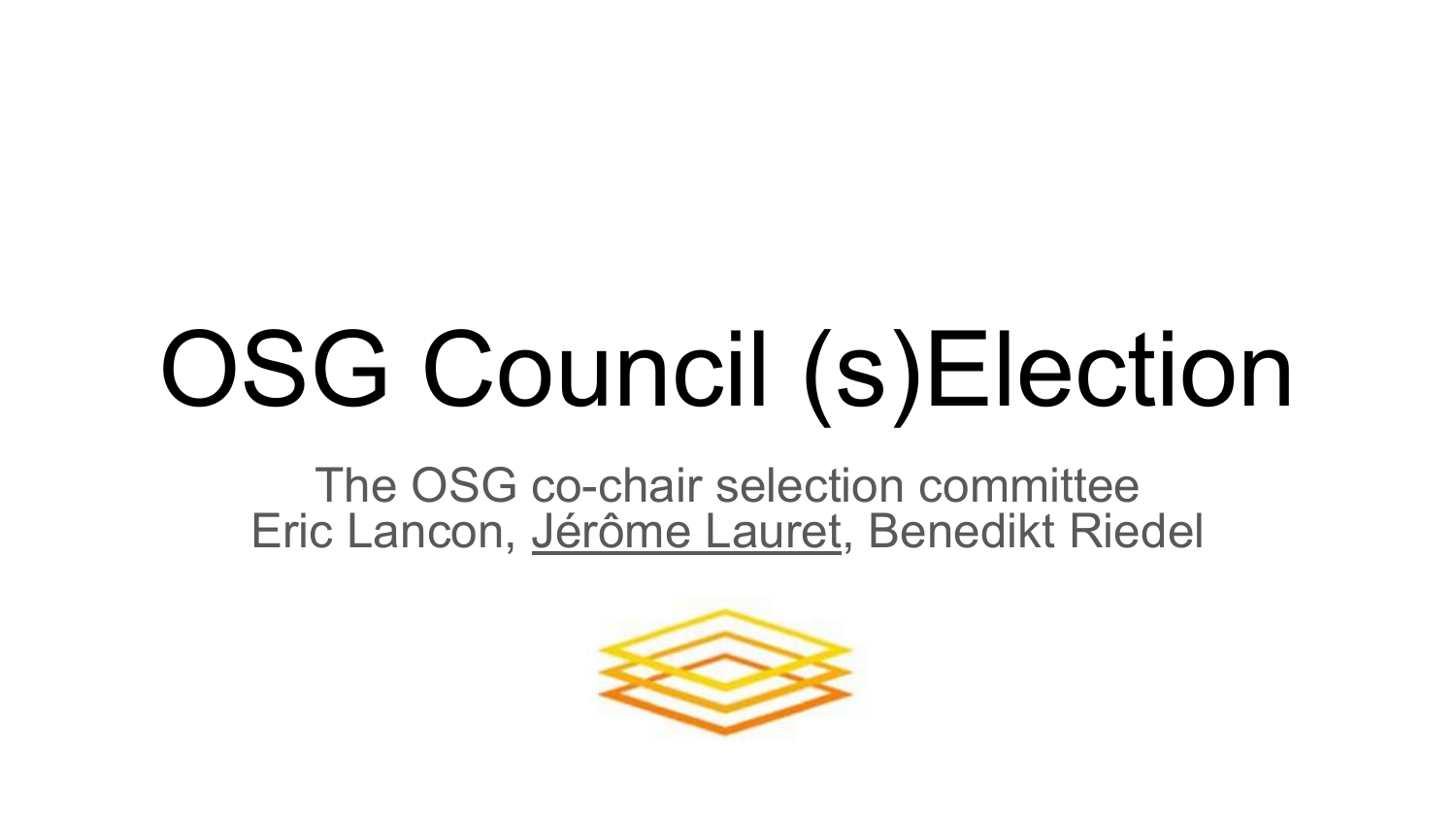# OSG Council (s)Election

The OSG co-chair selection committee Eric Lancon, Jérôme Lauret, Benedikt Riedel

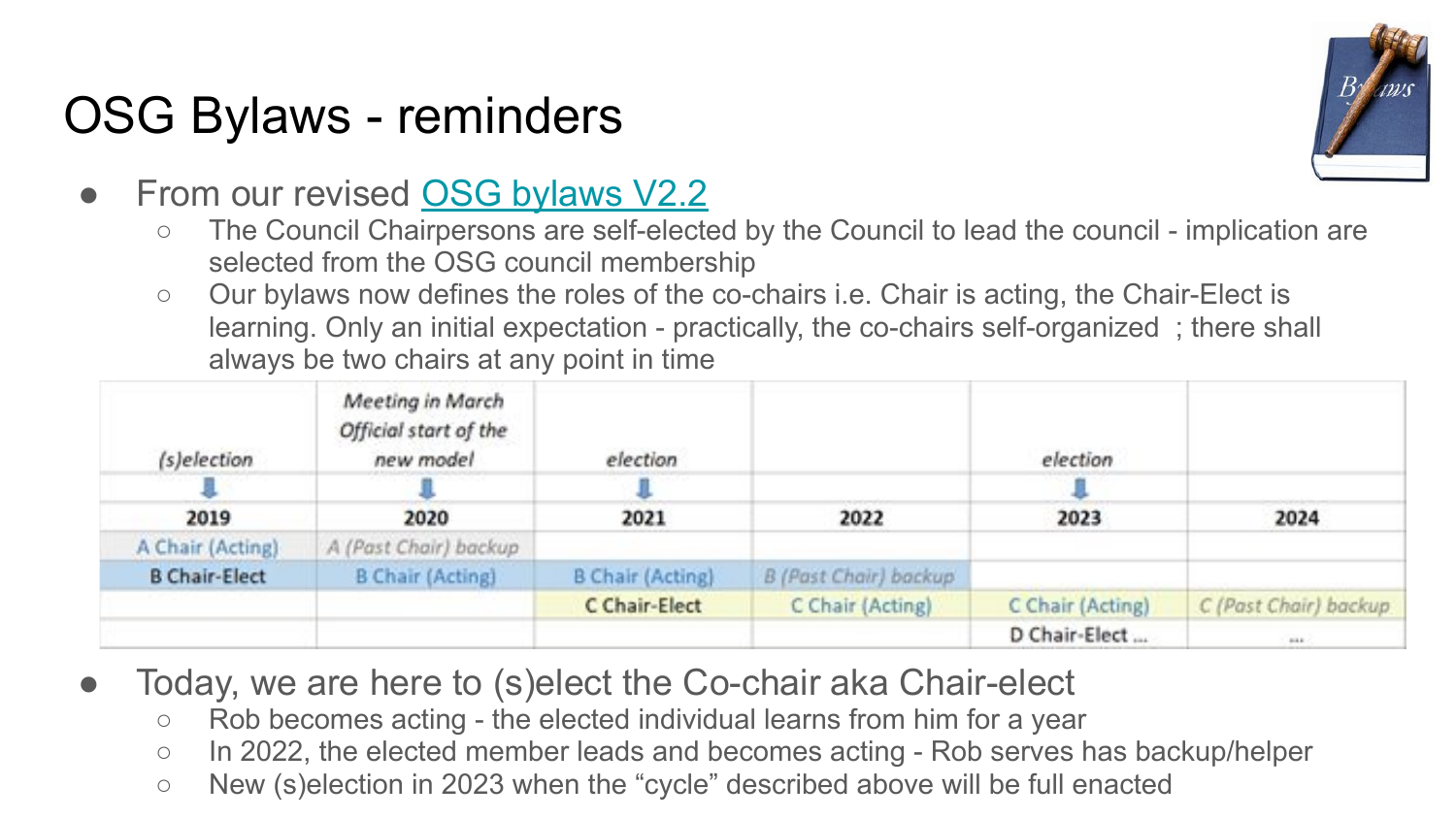## OSG Bylaws - reminders



- From our revised [OSG bylaws V2.2](https://opensciencegrid.org/council/documents/OSG-By-Laws-2020%20-%20v2.pdf)
	- The Council Chairpersons are self-elected by the Council to lead the council implication are selected from the OSG council membership
	- Our bylaws now defines the roles of the co-chairs i.e. Chair is acting, the Chair-Elect is learning. Only an initial expectation - practically, the co-chairs self-organized ; there shall always be two chairs at any point in time

| (s)election          | Meeting in March<br>Official start of the<br>new model | election                |                       | election         |                       |
|----------------------|--------------------------------------------------------|-------------------------|-----------------------|------------------|-----------------------|
|                      |                                                        |                         |                       |                  |                       |
| 2019                 | 2020                                                   | 2021                    | 2022                  | 2023             | 2024                  |
| A Chair (Acting)     | A (Past Chair) backup                                  |                         |                       |                  |                       |
| <b>B Chair-Elect</b> | <b>B Chair (Acting)</b>                                | <b>B Chair (Acting)</b> | B (Past Chair) backup |                  |                       |
|                      |                                                        | C Chair-Elect           | C Chair (Acting)      | C Chair (Acting) | C (Past Chair) backup |
|                      |                                                        |                         |                       | D Chair-Elect    | 148                   |

- Today, we are here to (s)elect the Co-chair aka Chair-elect
	- Rob becomes acting the elected individual learns from him for a year
	- In 2022, the elected member leads and becomes acting Rob serves has backup/helper
	- New (s)election in 2023 when the "cycle" described above will be full enacted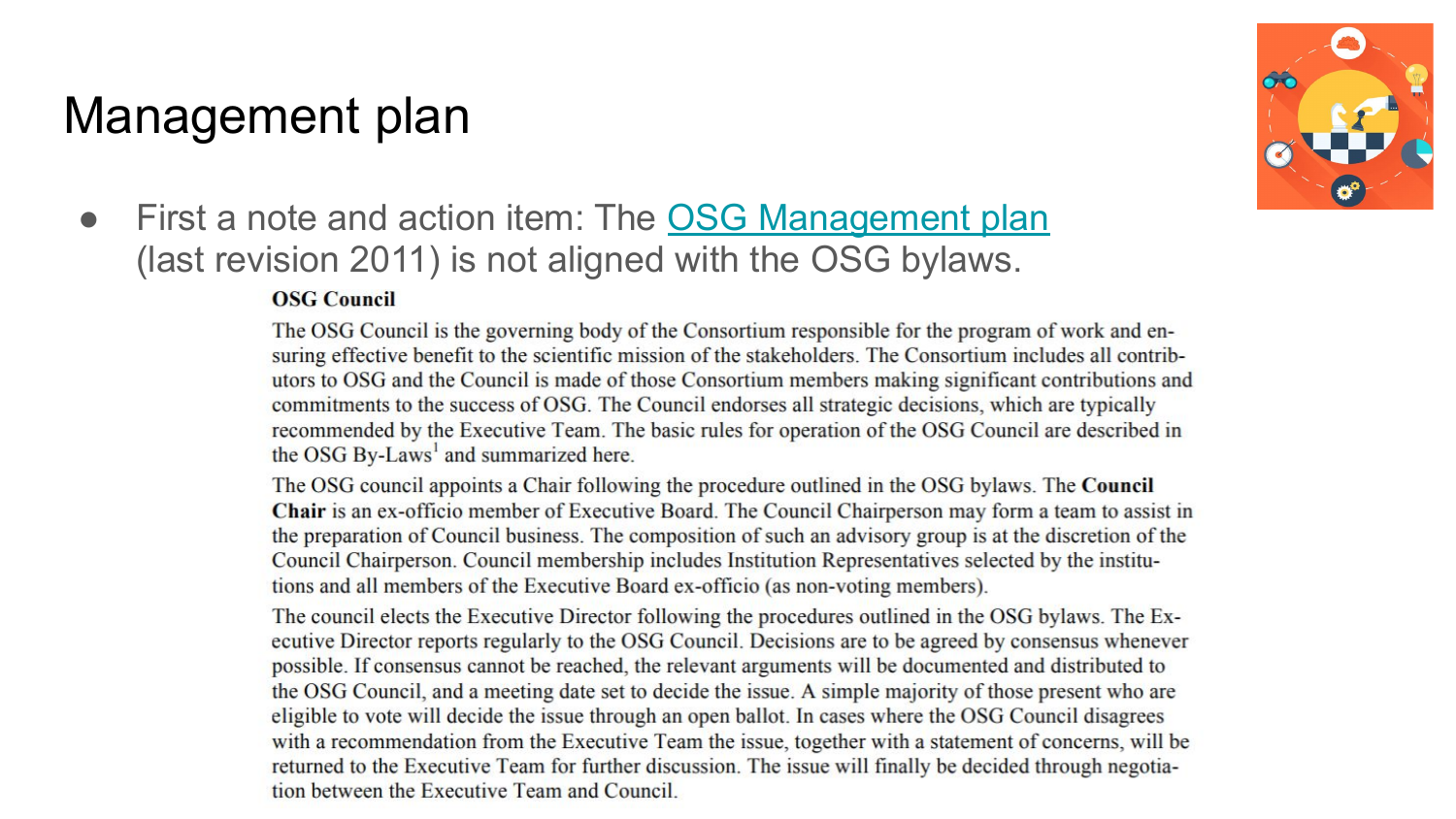### Management plan



• First a note and action item: The [OSG Management plan](https://osg-docdb.opensciencegrid.org/cgi-bin/RetrieveFile?docid=314&filename=6.OSG%20Management%20Plan.pdf&version=8) (last revision 2011) is not aligned with the OSG bylaws.

#### **OSG Council**

The OSG Council is the governing body of the Consortium responsible for the program of work and ensuring effective benefit to the scientific mission of the stakeholders. The Consortium includes all contributors to OSG and the Council is made of those Consortium members making significant contributions and commitments to the success of OSG. The Council endorses all strategic decisions, which are typically recommended by the Executive Team. The basic rules for operation of the OSG Council are described in the OSG By-Laws<sup>1</sup> and summarized here.

The OSG council appoints a Chair following the procedure outlined in the OSG bylaws. The Council Chair is an ex-officio member of Executive Board. The Council Chairperson may form a team to assist in the preparation of Council business. The composition of such an advisory group is at the discretion of the Council Chairperson. Council membership includes Institution Representatives selected by the institutions and all members of the Executive Board ex-officio (as non-voting members).

The council elects the Executive Director following the procedures outlined in the OSG bylaws. The Executive Director reports regularly to the OSG Council. Decisions are to be agreed by consensus whenever possible. If consensus cannot be reached, the relevant arguments will be documented and distributed to the OSG Council, and a meeting date set to decide the issue. A simple majority of those present who are eligible to vote will decide the issue through an open ballot. In cases where the OSG Council disagrees with a recommendation from the Executive Team the issue, together with a statement of concerns, will be returned to the Executive Team for further discussion. The issue will finally be decided through negotiation between the Executive Team and Council